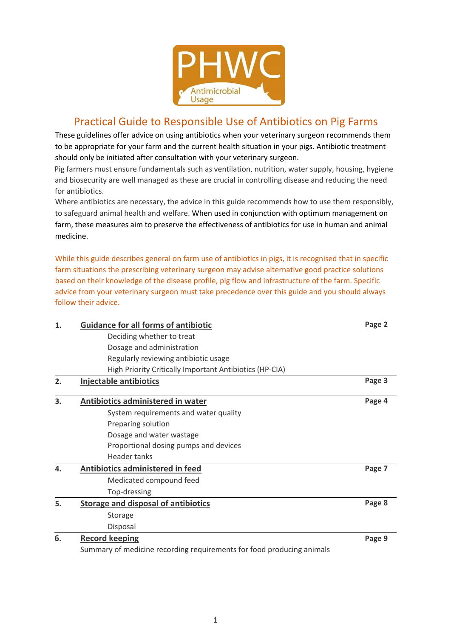

# Practical Guide to Responsible Use of Antibiotics on Pig Farms

These guidelines offer advice on using antibiotics when your veterinary surgeon recommends them to be appropriate for your farm and the current health situation in your pigs. Antibiotic treatment should only be initiated after consultation with your veterinary surgeon.

Pig farmers must ensure fundamentals such as ventilation, nutrition, water supply, housing, hygiene and biosecurity are well managed as these are crucial in controlling disease and reducing the need for antibiotics.

Where antibiotics are necessary, the advice in this guide recommends how to use them responsibly, to safeguard animal health and welfare. When used in conjunction with optimum management on farm, these measures aim to preserve the effectiveness of antibiotics for use in human and animal medicine.

While this guide describes general on farm use of antibiotics in pigs, it is recognised that in specific farm situations the prescribing veterinary surgeon may advise alternative good practice solutions based on their knowledge of the disease profile, pig flow and infrastructure of the farm. Specific advice from your veterinary surgeon must take precedence over this guide and you should always follow their advice.

| 1.                                    | <b>Guidance for all forms of antibiotic</b><br>Deciding whether to treat<br>Dosage and administration | Page 2                            |                                                         |  |
|---------------------------------------|-------------------------------------------------------------------------------------------------------|-----------------------------------|---------------------------------------------------------|--|
|                                       |                                                                                                       |                                   | Regularly reviewing antibiotic usage                    |  |
|                                       |                                                                                                       |                                   | High Priority Critically Important Antibiotics (HP-CIA) |  |
|                                       | 2.                                                                                                    | Injectable antibiotics            | Page 3                                                  |  |
|                                       | 3.                                                                                                    | Antibiotics administered in water | Page 4                                                  |  |
| System requirements and water quality |                                                                                                       |                                   |                                                         |  |
| Preparing solution                    |                                                                                                       |                                   |                                                         |  |
| Dosage and water wastage              |                                                                                                       |                                   |                                                         |  |
| Proportional dosing pumps and devices |                                                                                                       |                                   |                                                         |  |
| <b>Header tanks</b>                   |                                                                                                       |                                   |                                                         |  |
| 4.                                    | Antibiotics administered in feed                                                                      | Page 7                            |                                                         |  |
|                                       | Medicated compound feed                                                                               |                                   |                                                         |  |
|                                       | Top-dressing                                                                                          |                                   |                                                         |  |
| 5.                                    | <b>Storage and disposal of antibiotics</b>                                                            | Page 8                            |                                                         |  |
|                                       | Storage                                                                                               |                                   |                                                         |  |
|                                       | Disposal                                                                                              |                                   |                                                         |  |
| 6.                                    | <b>Record keeping</b>                                                                                 | Page 9                            |                                                         |  |
|                                       | Summary of medicine recording requirements for food producing animals                                 |                                   |                                                         |  |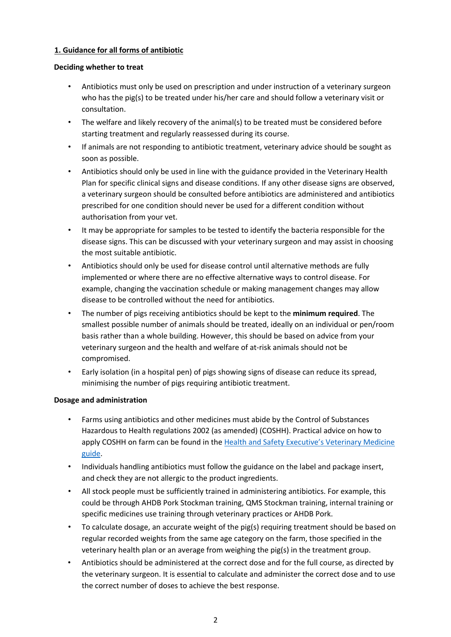# **1. Guidance for all forms of antibiotic**

## **Deciding whether to treat**

- Antibiotics must only be used on prescription and under instruction of a veterinary surgeon who has the pig(s) to be treated under his/her care and should follow a veterinary visit or consultation.
- The welfare and likely recovery of the animal(s) to be treated must be considered before starting treatment and regularly reassessed during its course.
- If animals are not responding to antibiotic treatment, veterinary advice should be sought as soon as possible.
- Antibiotics should only be used in line with the guidance provided in the Veterinary Health Plan for specific clinical signs and disease conditions. If any other disease signs are observed, a veterinary surgeon should be consulted before antibiotics are administered and antibiotics prescribed for one condition should never be used for a different condition without authorisation from your vet.
- It may be appropriate for samples to be tested to identify the bacteria responsible for the disease signs. This can be discussed with your veterinary surgeon and may assist in choosing the most suitable antibiotic.
- Antibiotics should only be used for disease control until alternative methods are fully implemented or where there are no effective alternative ways to control disease. For example, changing the vaccination schedule or making management changes may allow disease to be controlled without the need for antibiotics.
- The number of pigs receiving antibiotics should be kept to the **minimum required**. The smallest possible number of animals should be treated, ideally on an individual or pen/room basis rather than a whole building. However, this should be based on advice from your veterinary surgeon and the health and welfare of at-risk animals should not be compromised.
- Early isolation (in a hospital pen) of pigs showing signs of disease can reduce its spread, minimising the number of pigs requiring antibiotic treatment.

# **Dosage and administration**

- Farms using antibiotics and other medicines must abide by the Control of Substances Hazardous to Health regulations 2002 (as amended) (COSHH). Practical advice on how to apply COSHH on farm can be found in the Health and Safety Executive's Veterinary Medicine guide.
- Individuals handling antibiotics must follow the guidance on the label and package insert, and check they are not allergic to the product ingredients.
- All stock people must be sufficiently trained in administering antibiotics. For example, this could be through AHDB Pork Stockman training, QMS Stockman training, internal training or specific medicines use training through veterinary practices or AHDB Pork.
- To calculate dosage, an accurate weight of the pig(s) requiring treatment should be based on regular recorded weights from the same age category on the farm, those specified in the veterinary health plan or an average from weighing the pig(s) in the treatment group.
- Antibiotics should be administered at the correct dose and for the full course, as directed by the veterinary surgeon. It is essential to calculate and administer the correct dose and to use the correct number of doses to achieve the best response.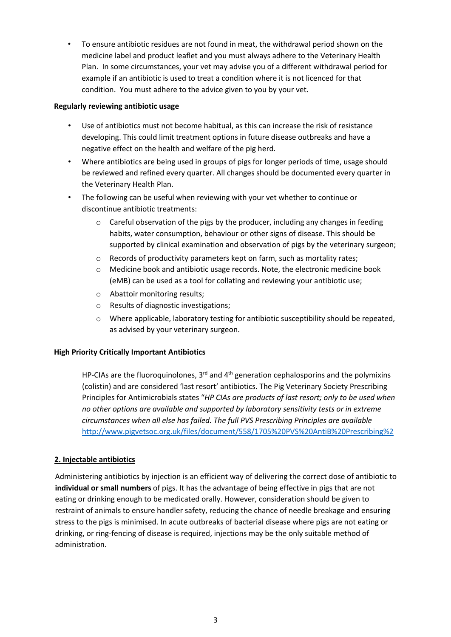• To ensure antibiotic residues are not found in meat, the withdrawal period shown on the medicine label and product leaflet and you must always adhere to the Veterinary Health Plan. In some circumstances, your vet may advise you of a different withdrawal period for example if an antibiotic is used to treat a condition where it is not licenced for that condition. You must adhere to the advice given to you by your vet.

### **Regularly reviewing antibiotic usage**

- Use of antibiotics must not become habitual, as this can increase the risk of resistance developing. This could limit treatment options in future disease outbreaks and have a negative effect on the health and welfare of the pig herd.
- Where antibiotics are being used in groups of pigs for longer periods of time, usage should be reviewed and refined every quarter. All changes should be documented every quarter in the Veterinary Health Plan.
- The following can be useful when reviewing with your vet whether to continue or discontinue antibiotic treatments:
	- $\circ$  Careful observation of the pigs by the producer, including any changes in feeding habits, water consumption, behaviour or other signs of disease. This should be supported by clinical examination and observation of pigs by the veterinary surgeon;
	- o Records of productivity parameters kept on farm, such as mortality rates;
	- $\circ$  Medicine book and antibiotic usage records. Note, the electronic medicine book (eMB) can be used as a tool for collating and reviewing your antibiotic use;
	- o Abattoir monitoring results;
	- o Results of diagnostic investigations;
	- o Where applicable, laboratory testing for antibiotic susceptibility should be repeated, as advised by your veterinary surgeon.

# **High Priority Critically Important Antibiotics**

HP-CIAs are the fluoroquinolones,  $3<sup>rd</sup>$  and  $4<sup>th</sup>$  generation cephalosporins and the polymixins (colistin) and are considered 'last resort' antibiotics. The Pig Veterinary Society Prescribing Principles for Antimicrobials states "*HP CIAs are products of last resort; only to be used when no other options are available and supported by laboratory sensitivity tests or in extreme circumstances when all else has failed. The full PVS Prescribing Principles are available*  http://www.pigvetsoc.org.uk/files/document/558/1705%20PVS%20AntiB%20Prescribing%2

# **2. Injectable antibiotics**

Administering antibiotics by injection is an efficient way of delivering the correct dose of antibiotic to **individual or small numbers** of pigs. It has the advantage of being effective in pigs that are not eating or drinking enough to be medicated orally. However, consideration should be given to restraint of animals to ensure handler safety, reducing the chance of needle breakage and ensuring stress to the pigs is minimised. In acute outbreaks of bacterial disease where pigs are not eating or drinking, or ring-fencing of disease is required, injections may be the only suitable method of administration.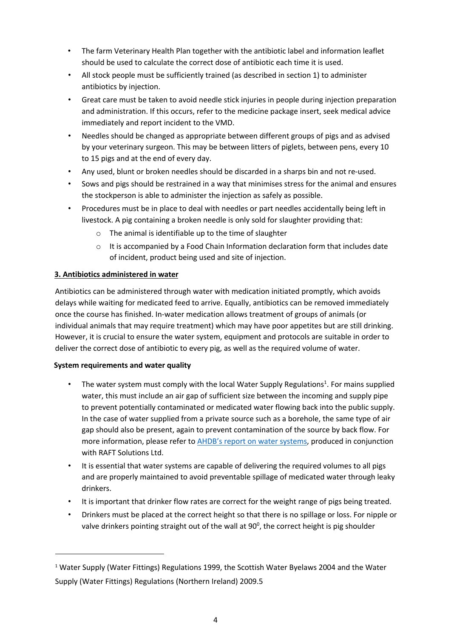- The farm Veterinary Health Plan together with the antibiotic label and information leaflet should be used to calculate the correct dose of antibiotic each time it is used.
- All stock people must be sufficiently trained (as described in section 1) to administer antibiotics by injection.
- Great care must be taken to avoid needle stick injuries in people during injection preparation and administration. If this occurs, refer to the medicine package insert, seek medical advice immediately and report incident to the VMD.
- Needles should be changed as appropriate between different groups of pigs and as advised by your veterinary surgeon. This may be between litters of piglets, between pens, every 10 to 15 pigs and at the end of every day.
- Any used, blunt or broken needles should be discarded in a sharps bin and not re-used.
- Sows and pigs should be restrained in a way that minimises stress for the animal and ensures the stockperson is able to administer the injection as safely as possible.
- Procedures must be in place to deal with needles or part needles accidentally being left in livestock. A pig containing a broken needle is only sold for slaughter providing that:
	- $\circ$  The animal is identifiable up to the time of slaughter
	- $\circ$  It is accompanied by a Food Chain Information declaration form that includes date of incident, product being used and site of injection.

# **3. Antibiotics administered in water**

Antibiotics can be administered through water with medication initiated promptly, which avoids delays while waiting for medicated feed to arrive. Equally, antibiotics can be removed immediately once the course has finished. In-water medication allows treatment of groups of animals (or individual animals that may require treatment) which may have poor appetites but are still drinking. However, it is crucial to ensure the water system, equipment and protocols are suitable in order to deliver the correct dose of antibiotic to every pig, as well as the required volume of water.

# **System requirements and water quality**

 $\overline{a}$ 

- The water system must comply with the local Water Supply Regulations<sup>1</sup>. For mains supplied water, this must include an air gap of sufficient size between the incoming and supply pipe to prevent potentially contaminated or medicated water flowing back into the public supply. In the case of water supplied from a private source such as a borehole, the same type of air gap should also be present, again to prevent contamination of the source by back flow. For more information, please refer to AHDB's report on water systems, produced in conjunction with RAFT Solutions Ltd.
- It is essential that water systems are capable of delivering the required volumes to all pigs and are properly maintained to avoid preventable spillage of medicated water through leaky drinkers.
- It is important that drinker flow rates are correct for the weight range of pigs being treated.
- Drinkers must be placed at the correct height so that there is no spillage or loss. For nipple or valve drinkers pointing straight out of the wall at 90 $^{\circ}$ , the correct height is pig shoulder

<sup>&</sup>lt;sup>1</sup> Water Supply (Water Fittings) Regulations 1999, the Scottish Water Byelaws 2004 and the Water Supply (Water Fittings) Regulations (Northern Ireland) 2009.5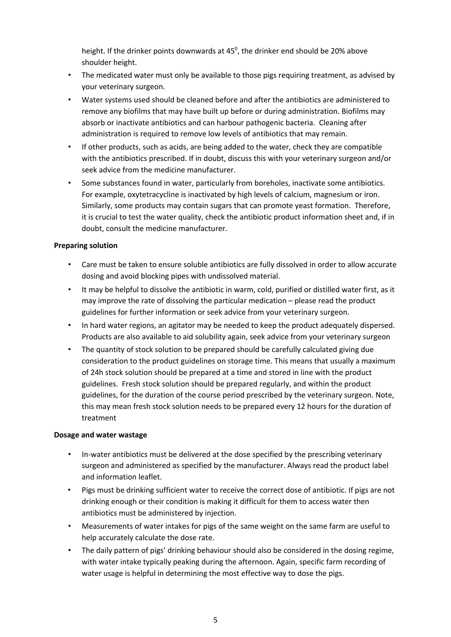height. If the drinker points downwards at  $45^{\circ}$ , the drinker end should be 20% above shoulder height.

- The medicated water must only be available to those pigs requiring treatment, as advised by your veterinary surgeon.
- Water systems used should be cleaned before and after the antibiotics are administered to remove any biofilms that may have built up before or during administration. Biofilms may absorb or inactivate antibiotics and can harbour pathogenic bacteria. Cleaning after administration is required to remove low levels of antibiotics that may remain.
- If other products, such as acids, are being added to the water, check they are compatible with the antibiotics prescribed. If in doubt, discuss this with your veterinary surgeon and/or seek advice from the medicine manufacturer.
- Some substances found in water, particularly from boreholes, inactivate some antibiotics. For example, oxytetracycline is inactivated by high levels of calcium, magnesium or iron. Similarly, some products may contain sugars that can promote yeast formation. Therefore, it is crucial to test the water quality, check the antibiotic product information sheet and, if in doubt, consult the medicine manufacturer.

# **Preparing solution**

- Care must be taken to ensure soluble antibiotics are fully dissolved in order to allow accurate dosing and avoid blocking pipes with undissolved material.
- It may be helpful to dissolve the antibiotic in warm, cold, purified or distilled water first, as it may improve the rate of dissolving the particular medication – please read the product guidelines for further information or seek advice from your veterinary surgeon.
- In hard water regions, an agitator may be needed to keep the product adequately dispersed. Products are also available to aid solubility again, seek advice from your veterinary surgeon
- The quantity of stock solution to be prepared should be carefully calculated giving due consideration to the product guidelines on storage time. This means that usually a maximum of 24h stock solution should be prepared at a time and stored in line with the product guidelines. Fresh stock solution should be prepared regularly, and within the product guidelines, for the duration of the course period prescribed by the veterinary surgeon. Note, this may mean fresh stock solution needs to be prepared every 12 hours for the duration of treatment

### **Dosage and water wastage**

- In-water antibiotics must be delivered at the dose specified by the prescribing veterinary surgeon and administered as specified by the manufacturer. Always read the product label and information leaflet.
- Pigs must be drinking sufficient water to receive the correct dose of antibiotic. If pigs are not drinking enough or their condition is making it difficult for them to access water then antibiotics must be administered by injection.
- Measurements of water intakes for pigs of the same weight on the same farm are useful to help accurately calculate the dose rate.
- The daily pattern of pigs' drinking behaviour should also be considered in the dosing regime, with water intake typically peaking during the afternoon. Again, specific farm recording of water usage is helpful in determining the most effective way to dose the pigs.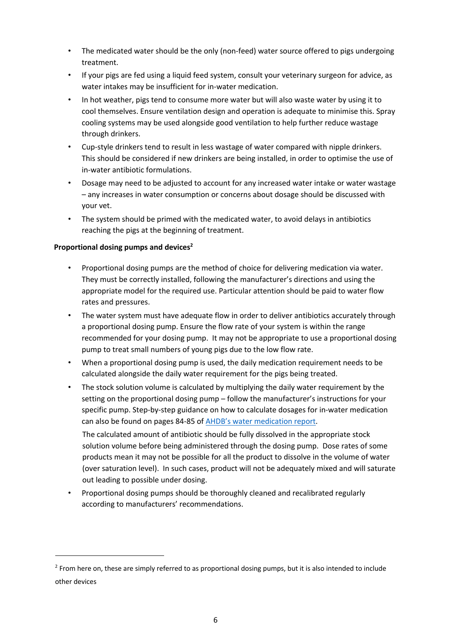- The medicated water should be the only (non-feed) water source offered to pigs undergoing treatment.
- If your pigs are fed using a liquid feed system, consult your veterinary surgeon for advice, as water intakes may be insufficient for in-water medication.
- In hot weather, pigs tend to consume more water but will also waste water by using it to cool themselves. Ensure ventilation design and operation is adequate to minimise this. Spray cooling systems may be used alongside good ventilation to help further reduce wastage through drinkers.
- Cup-style drinkers tend to result in less wastage of water compared with nipple drinkers. This should be considered if new drinkers are being installed, in order to optimise the use of in-water antibiotic formulations.
- Dosage may need to be adjusted to account for any increased water intake or water wastage – any increases in water consumption or concerns about dosage should be discussed with your vet.
- The system should be primed with the medicated water, to avoid delays in antibiotics reaching the pigs at the beginning of treatment.

# Proportional dosing pumps and devices<sup>2</sup>

<u>.</u>

- Proportional dosing pumps are the method of choice for delivering medication via water. They must be correctly installed, following the manufacturer's directions and using the appropriate model for the required use. Particular attention should be paid to water flow rates and pressures.
- The water system must have adequate flow in order to deliver antibiotics accurately through a proportional dosing pump. Ensure the flow rate of your system is within the range recommended for your dosing pump. It may not be appropriate to use a proportional dosing pump to treat small numbers of young pigs due to the low flow rate.
- When a proportional dosing pump is used, the daily medication requirement needs to be calculated alongside the daily water requirement for the pigs being treated.
- The stock solution volume is calculated by multiplying the daily water requirement by the setting on the proportional dosing pump – follow the manufacturer's instructions for your specific pump. Step-by-step guidance on how to calculate dosages for in-water medication can also be found on pages 84-85 of AHDB's water medication report.

The calculated amount of antibiotic should be fully dissolved in the appropriate stock solution volume before being administered through the dosing pump. Dose rates of some products mean it may not be possible for all the product to dissolve in the volume of water (over saturation level). In such cases, product will not be adequately mixed and will saturate out leading to possible under dosing.

• Proportional dosing pumps should be thoroughly cleaned and recalibrated regularly according to manufacturers' recommendations.

<sup>&</sup>lt;sup>2</sup> From here on, these are simply referred to as proportional dosing pumps, but it is also intended to include other devices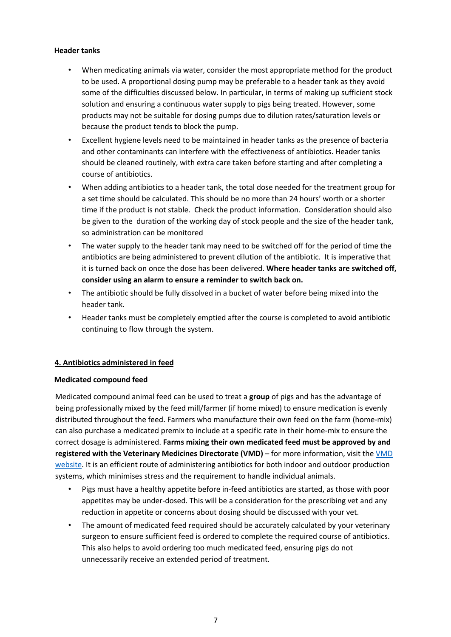### **Header tanks**

- When medicating animals via water, consider the most appropriate method for the product to be used. A proportional dosing pump may be preferable to a header tank as they avoid some of the difficulties discussed below. In particular, in terms of making up sufficient stock solution and ensuring a continuous water supply to pigs being treated. However, some products may not be suitable for dosing pumps due to dilution rates/saturation levels or because the product tends to block the pump.
- Excellent hygiene levels need to be maintained in header tanks as the presence of bacteria and other contaminants can interfere with the effectiveness of antibiotics. Header tanks should be cleaned routinely, with extra care taken before starting and after completing a course of antibiotics.
- When adding antibiotics to a header tank, the total dose needed for the treatment group for a set time should be calculated. This should be no more than 24 hours' worth or a shorter time if the product is not stable. Check the product information. Consideration should also be given to the duration of the working day of stock people and the size of the header tank, so administration can be monitored
- The water supply to the header tank may need to be switched off for the period of time the antibiotics are being administered to prevent dilution of the antibiotic. It is imperative that it is turned back on once the dose has been delivered. **Where header tanks are switched off, consider using an alarm to ensure a reminder to switch back on.**
- The antibiotic should be fully dissolved in a bucket of water before being mixed into the header tank.
- Header tanks must be completely emptied after the course is completed to avoid antibiotic continuing to flow through the system.

# **4. Antibiotics administered in feed**

# **Medicated compound feed**

Medicated compound animal feed can be used to treat a **group** of pigs and has the advantage of being professionally mixed by the feed mill/farmer (if home mixed) to ensure medication is evenly distributed throughout the feed. Farmers who manufacture their own feed on the farm (home-mix) can also purchase a medicated premix to include at a specific rate in their home-mix to ensure the correct dosage is administered. **Farms mixing their own medicated feed must be approved by and registered with the Veterinary Medicines Directorate (VMD)** – for more information, visit the VMD website. It is an efficient route of administering antibiotics for both indoor and outdoor production systems, which minimises stress and the requirement to handle individual animals.

- Pigs must have a healthy appetite before in-feed antibiotics are started, as those with poor appetites may be under-dosed. This will be a consideration for the prescribing vet and any reduction in appetite or concerns about dosing should be discussed with your vet.
- The amount of medicated feed required should be accurately calculated by your veterinary surgeon to ensure sufficient feed is ordered to complete the required course of antibiotics. This also helps to avoid ordering too much medicated feed, ensuring pigs do not unnecessarily receive an extended period of treatment.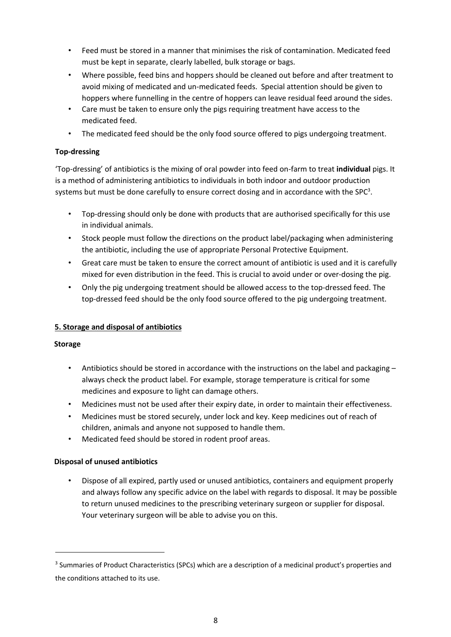- Feed must be stored in a manner that minimises the risk of contamination. Medicated feed must be kept in separate, clearly labelled, bulk storage or bags.
- Where possible, feed bins and hoppers should be cleaned out before and after treatment to avoid mixing of medicated and un-medicated feeds. Special attention should be given to hoppers where funnelling in the centre of hoppers can leave residual feed around the sides.
- Care must be taken to ensure only the pigs requiring treatment have access to the medicated feed.
- The medicated feed should be the only food source offered to pigs undergoing treatment.

# **Top-dressing**

'Top-dressing' of antibiotics is the mixing of oral powder into feed on-farm to treat **individual** pigs. It is a method of administering antibiotics to individuals in both indoor and outdoor production systems but must be done carefully to ensure correct dosing and in accordance with the SPC<sup>3</sup>.

- Top-dressing should only be done with products that are authorised specifically for this use in individual animals.
- Stock people must follow the directions on the product label/packaging when administering the antibiotic, including the use of appropriate Personal Protective Equipment.
- Great care must be taken to ensure the correct amount of antibiotic is used and it is carefully mixed for even distribution in the feed. This is crucial to avoid under or over-dosing the pig.
- Only the pig undergoing treatment should be allowed access to the top-dressed feed. The top-dressed feed should be the only food source offered to the pig undergoing treatment.

# **5. Storage and disposal of antibiotics**

# **Storage**

 $\overline{a}$ 

- Antibiotics should be stored in accordance with the instructions on the label and packaging always check the product label. For example, storage temperature is critical for some medicines and exposure to light can damage others.
- Medicines must not be used after their expiry date, in order to maintain their effectiveness.
- Medicines must be stored securely, under lock and key. Keep medicines out of reach of children, animals and anyone not supposed to handle them.
- Medicated feed should be stored in rodent proof areas.

# **Disposal of unused antibiotics**

• Dispose of all expired, partly used or unused antibiotics, containers and equipment properly and always follow any specific advice on the label with regards to disposal. It may be possible to return unused medicines to the prescribing veterinary surgeon or supplier for disposal. Your veterinary surgeon will be able to advise you on this.

<sup>&</sup>lt;sup>3</sup> Summaries of Product Characteristics (SPCs) which are a description of a medicinal product's properties and the conditions attached to its use.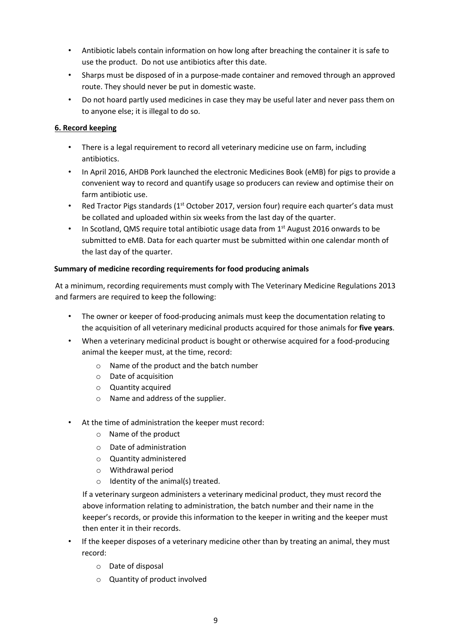- Antibiotic labels contain information on how long after breaching the container it is safe to use the product. Do not use antibiotics after this date.
- Sharps must be disposed of in a purpose-made container and removed through an approved route. They should never be put in domestic waste.
- Do not hoard partly used medicines in case they may be useful later and never pass them on to anyone else; it is illegal to do so.

# **6. Record keeping**

- There is a legal requirement to record all veterinary medicine use on farm, including antibiotics.
- In April 2016, AHDB Pork launched the electronic Medicines Book (eMB) for pigs to provide a convenient way to record and quantify usage so producers can review and optimise their on farm antibiotic use.
- Red Tractor Pigs standards ( $1<sup>st</sup>$  October 2017, version four) require each quarter's data must be collated and uploaded within six weeks from the last day of the quarter.
- In Scotland, QMS require total antibiotic usage data from  $1<sup>st</sup>$  August 2016 onwards to be submitted to eMB. Data for each quarter must be submitted within one calendar month of the last day of the quarter.

# **Summary of medicine recording requirements for food producing animals**

At a minimum, recording requirements must comply with The Veterinary Medicine Regulations 2013 and farmers are required to keep the following:

- The owner or keeper of food-producing animals must keep the documentation relating to the acquisition of all veterinary medicinal products acquired for those animals for **five years**.
- When a veterinary medicinal product is bought or otherwise acquired for a food-producing animal the keeper must, at the time, record:
	- o Name of the product and the batch number
	- o Date of acquisition
	- o Quantity acquired
	- o Name and address of the supplier.
	- At the time of administration the keeper must record:
		- o Name of the product
		- o Date of administration
		- o Quantity administered
		- o Withdrawal period
		- $\circ$  Identity of the animal(s) treated.

If a veterinary surgeon administers a veterinary medicinal product, they must record the above information relating to administration, the batch number and their name in the keeper's records, or provide this information to the keeper in writing and the keeper must then enter it in their records.

- If the keeper disposes of a veterinary medicine other than by treating an animal, they must record:
	- o Date of disposal
	- o Quantity of product involved